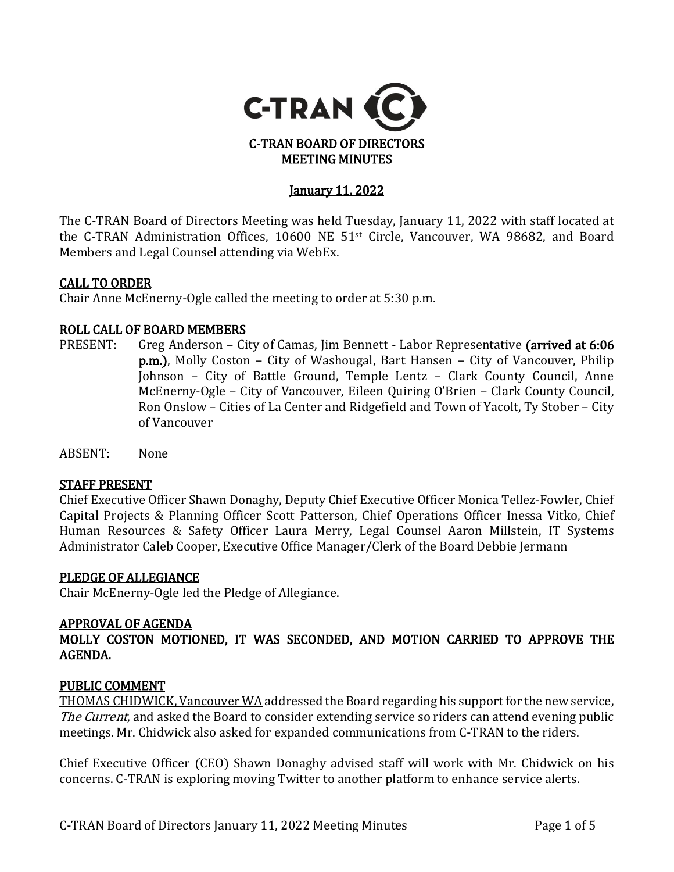

## January 11, 2022

The C-TRAN Board of Directors Meeting was held Tuesday, January 11, 2022 with staff located at the C-TRAN Administration Offices, 10600 NE 51st Circle, Vancouver, WA 98682, and Board Members and Legal Counsel attending via WebEx.

#### CALL TO ORDER

Chair Anne McEnerny-Ogle called the meeting to order at 5:30 p.m.

# **ROLL CALL OF BOARD MEMBERS**<br>PRESENT: Greg Anderson - Ci

- Greg Anderson City of Camas, Jim Bennett Labor Representative (arrived at 6:06 p.m.), Molly Coston – City of Washougal, Bart Hansen – City of Vancouver, Philip Johnson – City of Battle Ground, Temple Lentz – Clark County Council, Anne McEnerny-Ogle – City of Vancouver, Eileen Quiring O'Brien – Clark County Council, Ron Onslow – Cities of La Center and Ridgefield and Town of Yacolt, Ty Stober – City of Vancouver
- ABSENT: None

#### STAFF PRESENT

Chief Executive Officer Shawn Donaghy, Deputy Chief Executive Officer Monica Tellez-Fowler, Chief Capital Projects & Planning Officer Scott Patterson, Chief Operations Officer Inessa Vitko, Chief Human Resources & Safety Officer Laura Merry, Legal Counsel Aaron Millstein, IT Systems Administrator Caleb Cooper, Executive Office Manager/Clerk of the Board Debbie Jermann

# PLEDGE OF ALLEGIANCE

Chair McEnerny-Ogle led the Pledge of Allegiance.

## APPROVAL OF AGENDA

MOLLY COSTON MOTIONED, IT WAS SECONDED, AND MOTION CARRIED TO APPROVE THE AGENDA.

#### PUBLIC COMMENT

THOMAS CHIDWICK, Vancouver WA addressed the Board regarding his support for the new service, The Current, and asked the Board to consider extending service so riders can attend evening public meetings. Mr. Chidwick also asked for expanded communications from C-TRAN to the riders.

Chief Executive Officer (CEO) Shawn Donaghy advised staff will work with Mr. Chidwick on his concerns. C-TRAN is exploring moving Twitter to another platform to enhance service alerts.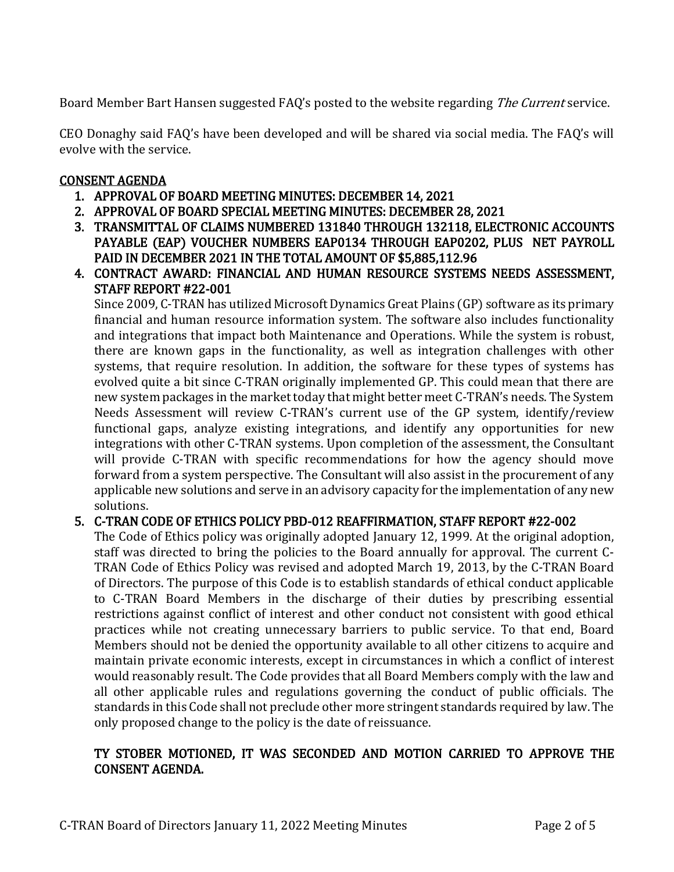Board Member Bart Hansen suggested FAQ's posted to the website regarding The Current service.

CEO Donaghy said FAQ's have been developed and will be shared via social media. The FAQ's will evolve with the service.

## CONSENT AGENDA

- 1. APPROVAL OF BOARD MEETING MINUTES: DECEMBER 14, 2021
- 2. APPROVAL OF BOARD SPECIAL MEETING MINUTES: DECEMBER 28, 2021
- 3. TRANSMITTAL OF CLAIMS NUMBERED 131840 THROUGH 132118, ELECTRONIC ACCOUNTS PAYABLE (EAP) VOUCHER NUMBERS EAP0134 THROUGH EAP0202, PLUS NET PAYROLL PAID IN DECEMBER 2021 IN THE TOTAL AMOUNT OF \$5,885,112.96
- 4. CONTRACT AWARD: FINANCIAL AND HUMAN RESOURCE SYSTEMS NEEDS ASSESSMENT, STAFF REPORT #22-001

Since 2009, C-TRAN has utilized Microsoft Dynamics Great Plains (GP) software as its primary financial and human resource information system. The software also includes functionality and integrations that impact both Maintenance and Operations. While the system is robust, there are known gaps in the functionality, as well as integration challenges with other systems, that require resolution. In addition, the software for these types of systems has evolved quite a bit since C-TRAN originally implemented GP. This could mean that there are new system packages in the market today that might better meet C-TRAN's needs. The System Needs Assessment will review C-TRAN's current use of the GP system, identify/review functional gaps, analyze existing integrations, and identify any opportunities for new integrations with other C-TRAN systems. Upon completion of the assessment, the Consultant will provide C-TRAN with specific recommendations for how the agency should move forward from a system perspective. The Consultant will also assist in the procurement of any applicable new solutions and serve in an advisory capacity for the implementation of any new solutions.

## 5. C-TRAN CODE OF ETHICS POLICY PBD-012 REAFFIRMATION, STAFF REPORT #22-002

The Code of Ethics policy was originally adopted January 12, 1999. At the original adoption, staff was directed to bring the policies to the Board annually for approval. The current C-TRAN Code of Ethics Policy was revised and adopted March 19, 2013, by the C-TRAN Board of Directors. The purpose of this Code is to establish standards of ethical conduct applicable to C-TRAN Board Members in the discharge of their duties by prescribing essential restrictions against conflict of interest and other conduct not consistent with good ethical practices while not creating unnecessary barriers to public service. To that end, Board Members should not be denied the opportunity available to all other citizens to acquire and maintain private economic interests, except in circumstances in which a conflict of interest would reasonably result. The Code provides that all Board Members comply with the law and all other applicable rules and regulations governing the conduct of public officials. The standards in this Code shall not preclude other more stringent standards required by law. The only proposed change to the policy is the date of reissuance.

## TY STOBER MOTIONED, IT WAS SECONDED AND MOTION CARRIED TO APPROVE THE CONSENT AGENDA.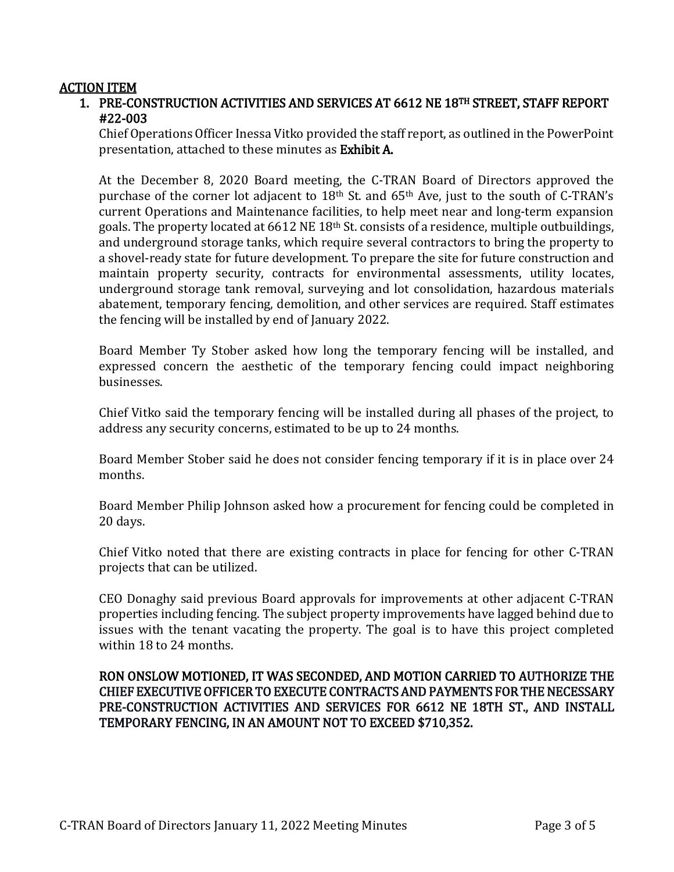#### ACTION ITEM

1. PRE-CONSTRUCTION ACTIVITIES AND SERVICES AT 6612 NE 18TH STREET, STAFF REPORT #22-003

Chief Operations Officer Inessa Vitko provided the staff report, as outlined in the PowerPoint presentation, attached to these minutes as Exhibit A.

At the December 8, 2020 Board meeting, the C-TRAN Board of Directors approved the purchase of the corner lot adjacent to 18<sup>th</sup> St. and 65<sup>th</sup> Ave, just to the south of C-TRAN's current Operations and Maintenance facilities, to help meet near and long-term expansion goals. The property located at 6612 NE 18th St. consists of a residence, multiple outbuildings, and underground storage tanks, which require several contractors to bring the property to a shovel-ready state for future development. To prepare the site for future construction and maintain property security, contracts for environmental assessments, utility locates, underground storage tank removal, surveying and lot consolidation, hazardous materials abatement, temporary fencing, demolition, and other services are required. Staff estimates the fencing will be installed by end of January 2022.

Board Member Ty Stober asked how long the temporary fencing will be installed, and expressed concern the aesthetic of the temporary fencing could impact neighboring businesses.

Chief Vitko said the temporary fencing will be installed during all phases of the project, to address any security concerns, estimated to be up to 24 months.

Board Member Stober said he does not consider fencing temporary if it is in place over 24 months.

Board Member Philip Johnson asked how a procurement for fencing could be completed in 20 days.

Chief Vitko noted that there are existing contracts in place for fencing for other C-TRAN projects that can be utilized.

CEO Donaghy said previous Board approvals for improvements at other adjacent C-TRAN properties including fencing. The subject property improvements have lagged behind due to issues with the tenant vacating the property. The goal is to have this project completed within 18 to 24 months.

### RON ONSLOW MOTIONED, IT WAS SECONDED, AND MOTION CARRIED TO AUTHORIZE THE CHIEF EXECUTIVE OFFICER TO EXECUTE CONTRACTS AND PAYMENTS FOR THE NECESSARY PRE-CONSTRUCTION ACTIVITIES AND SERVICES FOR 6612 NE 18TH ST., AND INSTALL TEMPORARY FENCING, IN AN AMOUNT NOT TO EXCEED \$710,352.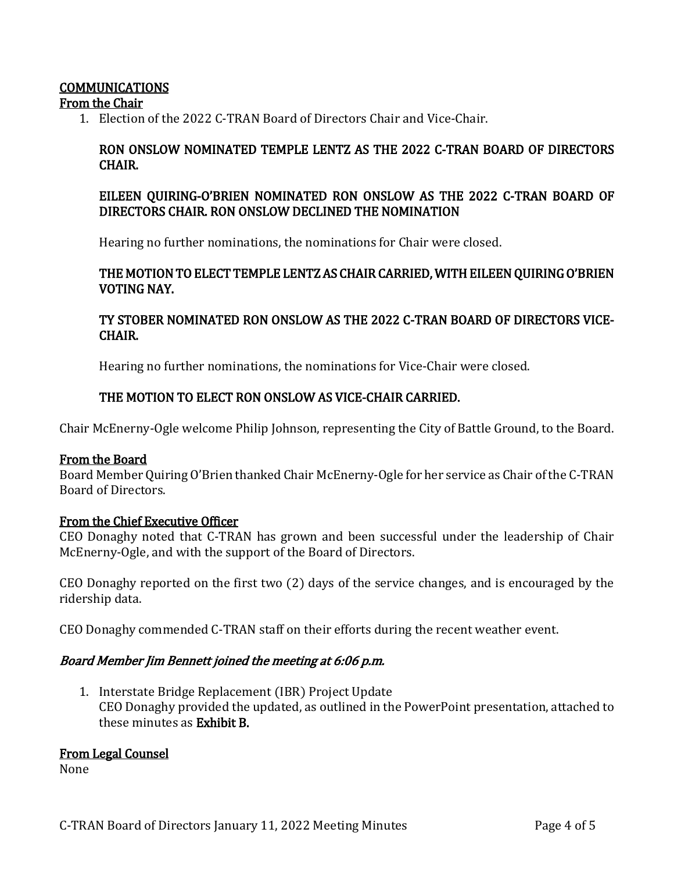## COMMUNICATIONS

From the Chair

1. Election of the 2022 C-TRAN Board of Directors Chair and Vice-Chair.

## RON ONSLOW NOMINATED TEMPLE LENTZ AS THE 2022 C-TRAN BOARD OF DIRECTORS CHAIR.

## EILEEN QUIRING-O'BRIEN NOMINATED RON ONSLOW AS THE 2022 C-TRAN BOARD OF DIRECTORS CHAIR. RON ONSLOW DECLINED THE NOMINATION

Hearing no further nominations, the nominations for Chair were closed.

#### THE MOTION TO ELECT TEMPLE LENTZ AS CHAIR CARRIED, WITH EILEEN QUIRING O'BRIEN VOTING NAY.

## TY STOBER NOMINATED RON ONSLOW AS THE 2022 C-TRAN BOARD OF DIRECTORS VICE-CHAIR.

Hearing no further nominations, the nominations for Vice-Chair were closed.

### THE MOTION TO ELECT RON ONSLOW AS VICE-CHAIR CARRIED.

Chair McEnerny-Ogle welcome Philip Johnson, representing the City of Battle Ground, to the Board.

#### From the Board

Board Member Quiring O'Brien thanked Chair McEnerny-Ogle for her service as Chair of the C-TRAN Board of Directors.

#### From the Chief Executive Officer

CEO Donaghy noted that C-TRAN has grown and been successful under the leadership of Chair McEnerny-Ogle, and with the support of the Board of Directors.

CEO Donaghy reported on the first two (2) days of the service changes, and is encouraged by the ridership data.

CEO Donaghy commended C-TRAN staff on their efforts during the recent weather event.

#### Board Member Jim Bennett joined the meeting at 6:06 p.m.

1. Interstate Bridge Replacement (IBR) Project Update CEO Donaghy provided the updated, as outlined in the PowerPoint presentation, attached to these minutes as Exhibit B.

#### From Legal Counsel

None